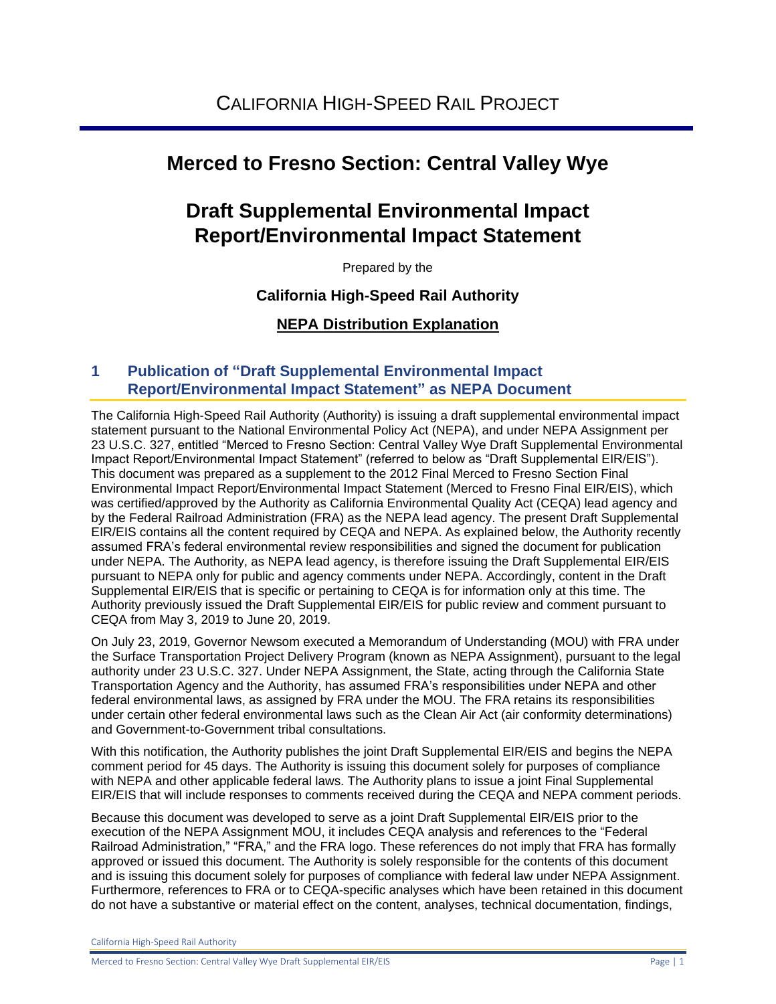# **Merced to Fresno Section: Central Valley Wye**

# **Draft Supplemental Environmental Impact Report/Environmental Impact Statement**

Prepared by the

## **California High-Speed Rail Authority**

#### **NEPA Distribution Explanation**

### **1 Publication of "Draft Supplemental Environmental Impact Report/Environmental Impact Statement" as NEPA Document**

The California High-Speed Rail Authority (Authority) is issuing a draft supplemental environmental impact statement pursuant to the National Environmental Policy Act (NEPA), and under NEPA Assignment per 23 U.S.C. 327, entitled "Merced to Fresno Section: Central Valley Wye Draft Supplemental Environmental Impact Report/Environmental Impact Statement" (referred to below as "Draft Supplemental EIR/EIS"). This document was prepared as a supplement to the 2012 Final Merced to Fresno Section Final Environmental Impact Report/Environmental Impact Statement (Merced to Fresno Final EIR/EIS), which was certified/approved by the Authority as California Environmental Quality Act (CEQA) lead agency and by the Federal Railroad Administration (FRA) as the NEPA lead agency. The present Draft Supplemental EIR/EIS contains all the content required by CEQA and NEPA. As explained below, the Authority recently assumed FRA's federal environmental review responsibilities and signed the document for publication under NEPA. The Authority, as NEPA lead agency, is therefore issuing the Draft Supplemental EIR/EIS pursuant to NEPA only for public and agency comments under NEPA. Accordingly, content in the Draft Supplemental EIR/EIS that is specific or pertaining to CEQA is for information only at this time. The Authority previously issued the Draft Supplemental EIR/EIS for public review and comment pursuant to CEQA from May 3, 2019 to June 20, 2019.

On July 23, 2019, Governor Newsom executed a Memorandum of Understanding (MOU) with FRA under the Surface Transportation Project Delivery Program (known as NEPA Assignment), pursuant to the legal authority under 23 U.S.C. 327. Under NEPA Assignment, the State, acting through the California State Transportation Agency and the Authority, has assumed FRA's responsibilities under NEPA and other federal environmental laws, as assigned by FRA under the MOU. The FRA retains its responsibilities under certain other federal environmental laws such as the Clean Air Act (air conformity determinations) and Government-to-Government tribal consultations.

With this notification, the Authority publishes the joint Draft Supplemental EIR/EIS and begins the NEPA comment period for 45 days. The Authority is issuing this document solely for purposes of compliance with NEPA and other applicable federal laws. The Authority plans to issue a joint Final Supplemental EIR/EIS that will include responses to comments received during the CEQA and NEPA comment periods.

Because this document was developed to serve as a joint Draft Supplemental EIR/EIS prior to the execution of the NEPA Assignment MOU, it includes CEQA analysis and references to the "Federal Railroad Administration," "FRA," and the FRA logo. These references do not imply that FRA has formally approved or issued this document. The Authority is solely responsible for the contents of this document and is issuing this document solely for purposes of compliance with federal law under NEPA Assignment. Furthermore, references to FRA or to CEQA-specific analyses which have been retained in this document do not have a substantive or material effect on the content, analyses, technical documentation, findings,

California High-Speed Rail Authority

Merced to Fresno Section: Central Valley Wye Draft Supplemental EIR/EIS Page | 1